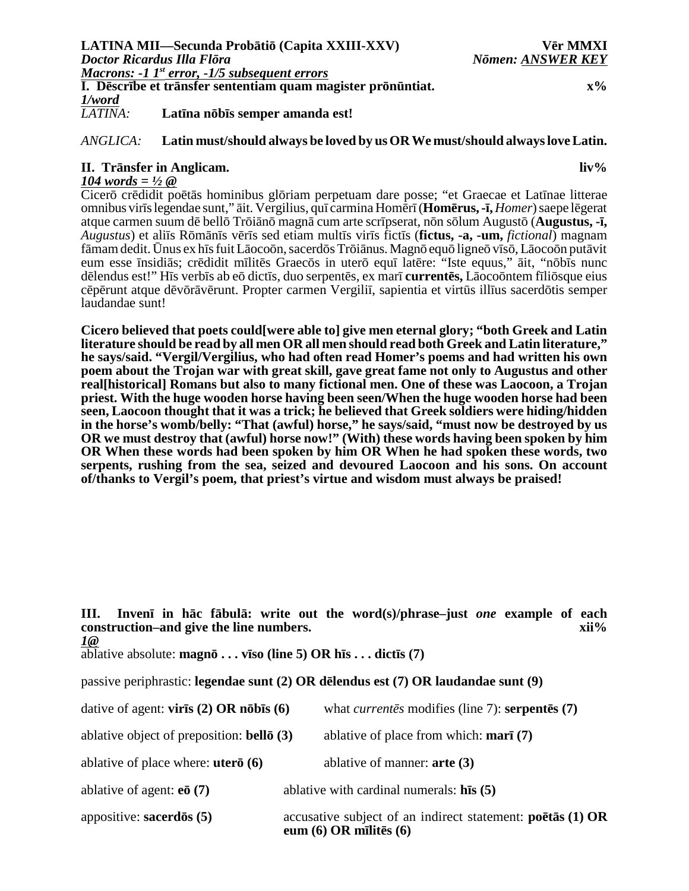## *ANGLICA:* **Latin must/should always be loved by us OR We must/should always love Latin.**

## **II. Tr nsfer in Anglicam. liv%**

*104 words = ½ @*

Cicer cr didit po t s hominibus gl riam perpetuam dare posse; "et Graecae et Lat nae litterae omnibus vir slegendae sunt," it. Vergilius, qu carmina Hom r (**Hom rus, - ,** *Homer*) saepe l gerat atque carmen suum d bell Tr i n magn cum arte scr pserat, n n s lum August (**Augustus, - ,** *Augustus*) et ali s R m n s v r s sed etiam mult s vir s fict s (**fictus, -a, -um,** *fictional*) magnam f mam dedit. nus ex h s fuit L oco n, sacerd s Tr i nus.Magn equ ligne v s , L oco n put vit eum esse nsidi s; cr didit m lit s Graec s in uter equ lat re: "Iste equus," it, "n b s nunc d lendus est!" H s verb s ab e dict s, duo serpent s, ex mar **current s,** L oco ntem f li sque eius c p runt atque d v r v runt. Propter carmen Vergili , sapientia et virt s ill us sacerd tis semper laudandae sunt!

**Cicero believed that poets could[were able to] give men eternal glory; "both Greek and Latin literature should be read by all men OR all men should read both Greek and Latin literature," he says/said. "Vergil/Vergilius, who had often read Homer's poems and had written his own poem about the Trojan war with great skill, gave great fame not only to Augustus and other real[historical] Romans but also to many fictional men. One of these was Laocoon, a Trojan priest. With the huge wooden horse having been seen/When the huge wooden horse had been seen, Laocoon thought that it was a trick; he believed that Greek soldiers were hiding/hidden in the horse's womb/belly: "That (awful) horse," he says/said, "must now be destroyed by us OR we must destroy that (awful) horse now!" (With) these words having been spoken by him OR When these words had been spoken by him OR When he had spoken these words, two serpents, rushing from the sea, seized and devoured Laocoon and his sons. On account of/thanks to Vergil's poem, that priest's virtue and wisdom must always be praised!**

passive periphrastic: **legendae sunt (2) OR d lendus est (7) OR laudandae sunt (9)**

| dative of agent: $\text{vir } s$ (2) OR n b s (6) | what <i>current</i> s modifies (line 7): <b>serpent</b> $s(7)$ |
|---------------------------------------------------|----------------------------------------------------------------|
|---------------------------------------------------|----------------------------------------------------------------|

ablative object of preposition: **bell (3)** ablative of place from which: **mar (7)**

ablative of place where: **uter (6)** ablative of manner: **arte (3)**

ablative of agent: **e (7)** ablative with cardinal numerals: **h s (5)**

appositive: **sacerd s (5)** accusative subject of an indirect statement: **po t s (1) OR eum (6) OR m lit s (6)**

**III. Inven in h c f bul : write out the word(s)/phrase–just** *one* **example of each construction–and give the line numbers.** *xii***<sup>%</sup>** *1@*

ablative absolute: **magn . . . v so (line 5) OR h s . . . dict s (7)**